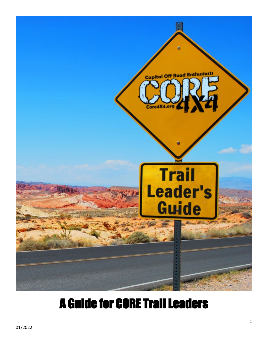

# A Guide for CORE Trail Leaders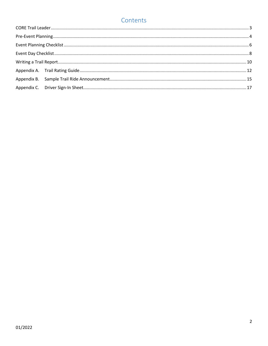### Contents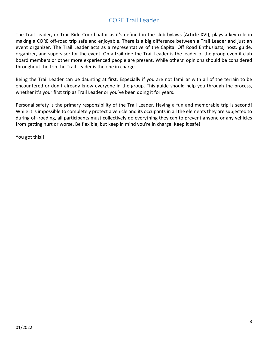### CORE Trail Leader

<span id="page-2-0"></span>The Trail Leader, or Trail Ride Coordinator as it's defined in the club bylaws (Article XVI), plays a key role in making a CORE off-road trip safe and enjoyable. There is a big difference between a Trail Leader and just an event organizer. The Trail Leader acts as a representative of the Capital Off Road Enthusiasts, host, guide, organizer, and supervisor for the event. On a trail ride the Trail Leader is the leader of the group even if club board members or other more experienced people are present. While others' opinions should be considered throughout the trip the Trail Leader is the one in charge.

Being the Trail Leader can be daunting at first. Especially if you are not familiar with all of the terrain to be encountered or don't already know everyone in the group. This guide should help you through the process, whether it's your first trip as Trail Leader or you've been doing it for years.

Personal safety is the primary responsibility of the Trail Leader. Having a fun and memorable trip is second! While it is impossible to completely protect a vehicle and its occupants in all the elements they are subjected to during off-roading, all participants must collectively do everything they can to prevent anyone or any vehicles from getting hurt or worse. Be flexible, but keep in mind you're in charge. Keep it safe!

You got this!!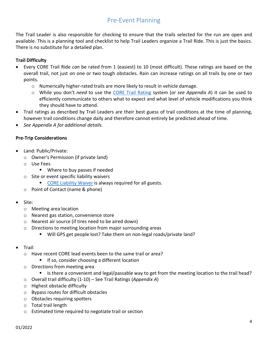### Pre-Event Planning

<span id="page-3-0"></span>The Trail Leader is also responsible for checking to ensure that the trails selected for the run are open and available. This is a planning tool and checklist to help Trail Leaders organize a Trail Ride. This is just the basics. There is no substitute for a detailed plan.

### **Trail Difficulty**

- Every CORE Trail Ride *can* be rated from 1 (easiest) to 10 (most difficult). These ratings are based on the overall trail, not just on one or two tough obstacles. Rain can increase ratings on all trails by one or two points.
	- $\circ$  Numerically higher-rated trails are more likely to result in vehicle damage.
	- o While you don't *need* to use the [CORE Trail Rating](http://core4x4.org/downloads/CORE_Trail_Ratings_022018.pdf) system (*or see Appendix A*) it can be used to efficiently communicate to others what to expect and what level of vehicle modifications you think they should have to attend.
- Trail ratings as described by Trail Leaders are their best guess of trail conditions at the time of planning, however trail conditions change daily and therefore cannot entirely be predicted ahead of time.
- *See Appendix A for additional details.*

#### **Pre-Trip Considerations**

- Land: Public/Private:
	- o Owner's Permission (if private land)
	- o Use Fees
		- **Where to buy passes if needed**
	- o Site or event specific liability waivers
		- **[CORE Liability Waiver](http://core4x4.org/wp-content/uploads/2014/07/Release_and_Waiver_of_Liability_and_Indemnity_AgreementV1.1.pdf) is always required for all guests.**
	- o Point of Contact (name & phone)
- Site:
	- o Meeting area location
	- o Nearest gas station, convenience store
	- o Nearest air source (if tires need to be aired down)
	- o Directions to meeting location from major surrounding areas
		- Will GPS get people lost? Take them on non-legal roads/private land?
- Trail:
	- o Have recent CORE lead events been to the same trail or area?
		- If so, consider choosing a different location
	- o Directions from meeting area
		- If Its there a convenient and legal/passable way to get from the meeting location to the trail head?
	- o Overall trail difficulty (1-10) See Trail Ratings (*Appendix A*)
	- o Highest obstacle difficulty
	- o Bypass routes for difficult obstacles
	- o Obstacles requiring spotters
	- o Total trail length
	- o Estimated time required to negotiate trail or section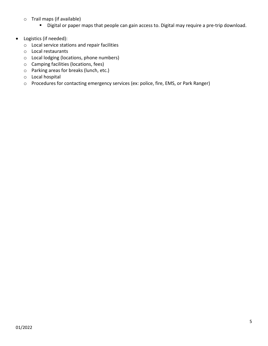- o Trail maps (if available)
	- Digital or paper maps that people can gain access to. Digital may require a pre-trip download.
- Logistics (if needed):
	- o Local service stations and repair facilities
	- o Local restaurants
	- o Local lodging (locations, phone numbers)
	- o Camping facilities (locations, fees)
	- o Parking areas for breaks (lunch, etc.)
	- o Local hospital
	- o Procedures for contacting emergency services (ex: police, fire, EMS, or Park Ranger)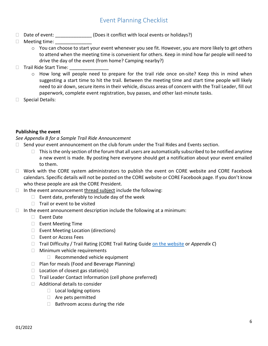### Event Planning Checklist

- <span id="page-5-0"></span>□ Date of event: \_\_\_\_\_\_\_\_\_\_\_\_\_\_(Does it conflict with local events or holidays?)
- $\Box$  Meeting time:
	- o You can choose to start your event whenever you see fit. However, you are more likely to get others to attend when the meeting time is convenient for others. Keep in mind how far people will need to drive the day of the event (from home? Camping nearby?)
- $\Box$  Trail Ride Start Time:
	- o How long will people need to prepare for the trail ride once on-site? Keep this in mind when suggesting a start time to hit the trail. Between the meeting time and start time people will likely need to air down, secure items in their vehicle, discuss areas of concern with the Trail Leader, fill out paperwork, complete event registration, buy passes, and other last-minute tasks.
- □ Special Details:

### **Publishing the event**

#### *See Appendix B for a Sample Trail Ride Announcement*

- $\Box$  Send your event announcement on the club forum under the Trail Rides and Events section.
	- $\Box$  This is the only section of the forum that all users are automatically subscribed to be notified anytime a new event is made. By posting here everyone should get a notification about your event emailed to them.
- $\Box$  Work with the CORE system administrators to publish the event on CORE website and CORE Facebook calendars. Specific details will not be posted on the CORE website or CORE Facebook page. If you don't know who these people are ask the CORE President.
- $\Box$  In the event announcement thread subject include the following:
	- $\Box$  Event date, preferably to include day of the week
	- $\Box$  Trail or event to be visited
- $\Box$  In the event announcement description include the following at a minimum:
	- □ Event Date
	- $\Box$  Event Meeting Time
	- $\Box$  Event Meeting Location (directions)
	- □ Event or Access Fees
	- Trail Difficulty / Trail Rating (CORE Trail Rating Guide [on the website](http://core4x4.org/downloads/CORE_Trail_Ratings_022018.pdf) or *Appendix C*)
	- **Minimum vehicle requirements** 
		- □ Recommended vehicle equipment
	- $\Box$  Plan for meals (Food and Beverage Planning)
	- $\Box$  Location of closest gas station(s)
	- $\Box$  Trail Leader Contact Information (cell phone preferred)
	- $\Box$  Additional details to consider
		- $\Box$  Local lodging options
		- Are pets permitted
		- $\Box$  Bathroom access during the ride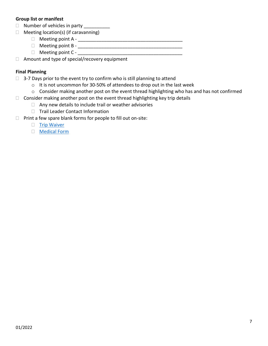#### **Group list or manifest**

- □ Number of vehicles in party \_\_\_\_\_\_\_\_\_\_
- $\Box$  Meeting location(s) (if caravanning)
	- Meeting point A \_\_\_\_\_\_\_\_\_\_\_\_\_\_\_\_\_\_\_\_\_\_\_\_\_\_\_\_\_\_\_\_\_\_\_\_\_\_\_\_
	- Meeting point B \_\_\_\_\_\_\_\_\_\_\_\_\_\_\_\_\_\_\_\_\_\_\_\_\_\_\_\_\_\_\_\_\_\_\_\_\_\_\_\_
	- $\Box$  Meeting point C -

 $\Box$  Amount and type of special/recovery equipment

#### **Final Planning**

- $\Box$  3-7 Days prior to the event try to confirm who is still planning to attend
	- o It is not uncommon for 30-50% of attendees to drop out in the last week
	- o Consider making another post on the event thread highlighting who has and has not confirmed
- $\Box$  Consider making another post on the event thread highlighting key trip details
	- $\Box$  Any new details to include trail or weather advisories
	- □ Trail Leader Contact Information
- $\Box$  Print a few spare blank forms for people to fill out on-site:
	- $\Box$  [Trip Waiver](http://core4x4.org/wp-content/uploads/2014/07/Release_and_Waiver_of_Liability_and_Indemnity_AgreementV1.1.pdf)
	- [Medical Form](http://core4x4.org/wp-content/uploads/2017/01/CORE%20Emergency%20Medical%20Form%2008JAN2017.pdf)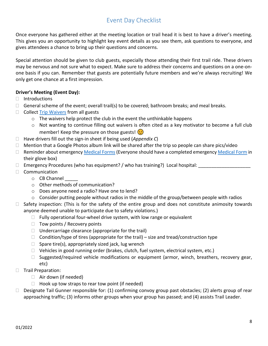### Event Day Checklist

<span id="page-7-0"></span>Once everyone has gathered either at the meeting location or trail head it is best to have a driver's meeting. This gives you an opportunity to highlight key event details as you see them, ask questions to everyone, and gives attendees a chance to bring up their questions and concerns.

Special attention should be given to club guests, especially those attending their first trail ride. These drivers may be nervous and not sure what to expect. Make sure to address their concerns and questions on a one-onone basis if you can. Remember that guests are potentially future members and we're always recruiting! We only get one chance at a first impression.

### **Driver's Meeting (Event Day):**

- $\Box$  Introductions
- $\Box$  General scheme of the event; overall trail(s) to be covered; bathroom breaks; and meal breaks.
- $\Box$  Collect [Trip Waivers](http://core4x4.org/wp-content/uploads/2014/07/Release_and_Waiver_of_Liability_and_Indemnity_AgreementV1.1.pdf) from all guests
	- $\circ$  The waivers help protect the club in the event the unthinkable happens
	- $\circ$  Not wanting to continue filling out waivers is often cited as a key motivator to become a full club member! Keep the pressure on those guests!  $\odot$
- Have drivers fill out the sign-in sheet if being used (*Appendix C*)
- $\Box$  Mention that a Google Photos album link will be shared after the trip so people can share pics/video
- □ Reminder about emergenc[y Medical Forms](http://core4x4.org/wp-content/uploads/2017/01/CORE%20Emergency%20Medical%20Form%2008JAN2017.pdf) (Everyone should have a completed emergenc[y Medical Form](http://core4x4.org/wp-content/uploads/2017/01/CORE%20Emergency%20Medical%20Form%2008JAN2017.pdf) in their glove box)
- $\Box$  Emergency Procedures (who has equipment? / who has training?) Local hospital:
- $\Box$  Communication
	- $\circ$  CB Channel
	- o Other methods of communication?
	- o Does anyone need a radio? Have one to lend?
	- $\circ$  Consider putting people without radios in the middle of the group/between people with radios
- $\Box$  Safety inspection: (This is for the safety of the entire group and does not constitute animosity towards anyone deemed unable to participate due to safety violations.)
	- $\Box$  Fully operational four-wheel drive system, with low range or equivalent
	- $\Box$  Tow points / Recovery points
	- $\Box$  Undercarriage clearance (appropriate for the trail)
	- $\Box$  Condition/type of tires (appropriate for the trail) size and tread/construction type
	- $\Box$  Spare tire(s), appropriately sized jack, lug wrench
	- $\Box$  Vehicles in good running order (brakes, clutch, fuel system, electrical system, etc.)
	- $\Box$  Suggested/required vehicle modifications or equipment (armor, winch, breathers, recovery gear, etc)
- □ Trail Preparation:
	- Air down (if needed)
	- $\Box$  Hook up tow straps to rear tow point (if needed)
- $\Box$  Designate Tail Gunner responsible for: (1) confirming convoy group past obstacles; (2) alerts group of rear approaching traffic; (3) informs other groups when your group has passed; and (4) assists Trail Leader.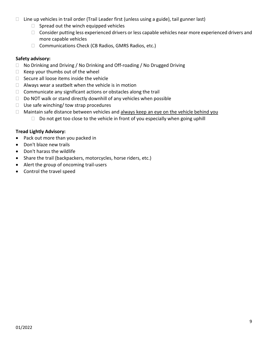- $\Box$  Line up vehicles in trail order (Trail Leader first (unless using a guide), tail gunner last)
	- $\Box$  Spread out the winch equipped vehicles
	- □ Consider putting less experienced drivers or less capable vehicles near more experienced drivers and more capable vehicles
	- $\Box$  Communications Check (CB Radios, GMRS Radios, etc.)

### **Safety advisory:**

- $\Box$  No Drinking and Driving / No Drinking and Off-roading / No Drugged Driving
- $\Box$  Keep your thumbs out of the wheel
- $\Box$  Secure all loose items inside the vehicle
- $\Box$  Always wear a seatbelt when the vehicle is in motion
- $\Box$  Communicate any significant actions or obstacles along the trail
- $\Box$  Do NOT walk or stand directly downhill of any vehicles when possible
- $\Box$  Use safe winching/ tow strap procedures
- $\Box$  Maintain safe distance between vehicles and always keep an eye on the vehicle behind you
	- $\Box$  Do not get too close to the vehicle in front of you especially when going uphill

### **Tread Lightly Advisory:**

- Pack out more than you packed in
- Don't blaze new trails
- Don't harass the wildlife
- Share the trail (backpackers, motorcycles, horse riders, etc.)
- Alert the group of oncoming trail-users
- Control the travel speed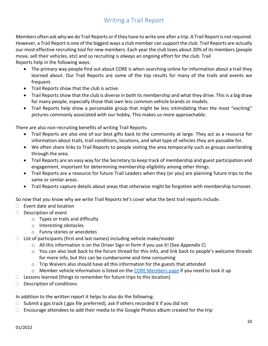### Writing a Trail Report

<span id="page-9-0"></span>Members often ask why we do Trail Reports or if they have to write one after a trip. A Trail Report is not required. However, a Trail Report is one of the biggest ways a club member can support the club. Trail Reports are actually our most effective recruiting tool for new members. Each year the club loses about 20% of its members (people move, sell their vehicles, etc) and so recruiting is *always* an ongoing effort for the club. Trail

Reports help in the following ways:

- The primary way people find out about CORE is when searching online for information about a trail they learned about. Our Trail Reports are some of the top results for many of the trails and events we frequent.
- Trail Reports show that the club is active.
- Trail Reports show that the club is diverse in both its membership and what they drive. This is a big draw for many people, especially those that own less common vehicle brands or models.
- Trail Reports help show a personable group that might be less intimidating than the most "exciting" pictures commonly associated with our hobby. This makes us more approachable.

There are also non-recruiting benefits of writing Trail Reports.

- Trail Reports are also one of our best gifts back to the community at large. They act as a resource for information about trails, trail conditions, locations, and what type of vehicles they are passable for.
- We often share links to Trail Reports to people visiting the area temporarily such as groups overlanding through the area.
- Trail Reports are an easy way for the Secretary to keep track of membership and guest participation and engagement, important for determining membership eligibility among other things.
- Trail Reports are a resource for future Trail Leaders when they (or you) are planning future trips to the same or similar areas.
- Trail Reports capture details about areas that otherwise might be forgotten with membership turnover.

So now that you know why we write Trail Reports let's cover what the best trail reports include.

- $\Box$  Event date and location
- $\Box$  Description of event
	- o Types or trails and difficulty
	- o Interesting obstacles
	- o Funny stories or anecdotes
- $\Box$  List of participants (first and last names) including vehicle make/model
	- o All this information is on the Driver Sign-in form if you use it! (See *Appendix C*)
	- $\circ$  You can also look back to the forum thread for this info, and link back to people's welcome threads for more info, but this can be cumbersome and time consuming
	- o Trip Waivers also should have all this information for the guests that attended
	- $\circ$  Member vehicle information is listed on the [CORE Members page](http://core4x4.org/core-members-and-their-rigs/) if you need to look it up
- $\Box$  Lessons learned (things to remember for future trips to this location)
- $\Box$  Description of conditions

In addition to the written report it helps to also do the following:

- $\Box$  Submit a gps track (.gpx file preferred), ask if others recorded it if you did not
- $\Box$  Encourage attendees to add their media to the Google Photos album created for the trip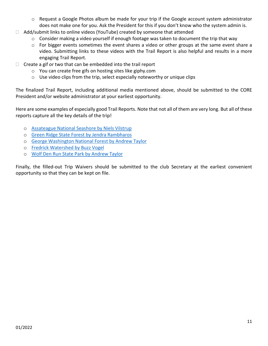- o Request a Google Photos album be made for your trip if the Google account system administrator does not make one for you. Ask the President for this if you don't know who the system admin is.
- $\Box$  Add/submit links to online videos (YouTube) created by someone that attended
	- o Consider making a video yourself if enough footage was taken to document the trip that way
	- o For bigger events sometimes the event shares a video or other groups at the same event share a video. Submitting links to these videos with the Trail Report is also helpful and results in a more engaging Trail Report.
- $\Box$  Create a gif or two that can be embedded into the trail report
	- o You can create free gifs on hosting sites like giphy.com
	- o Use video clips from the trip, select especially noteworthy or unique clips

The finalized Trail Report, including additional media mentioned above, should be submitted to the CORE President and/or website administrator at your earliest opportunity.

Here are some examples of especially good Trail Reports. Note that not all of them are very long. But all of these reports capture all the key details of the trip!

- o [Assateague National Seashore by Niels Vilstrup](http://core4x4.org/first-trip-of-the-year-to-assateague-national-seashore/)
- o [Green Ridge State Forest by Jendra Rambharos](http://core4x4.org/green-ridge-state-forest-trail-ride-and-meeting/)
- o [George Washington National Forest by Andrew Taylor](http://core4x4.org/three-day-super-weekend-in-george-washington-national-forest/)
- o [Fredrick Watershed by Buzz Vogel](http://core4x4.org/frederick-watershed/)
- o [Wolf Den Run State Park by Andrew Taylor](http://core4x4.org/volunteering-and-exploring-at-wolf-den-run-state-park/)

Finally, the filled-out Trip Waivers should be submitted to the club Secretary at the earliest convenient opportunity so that they can be kept on file.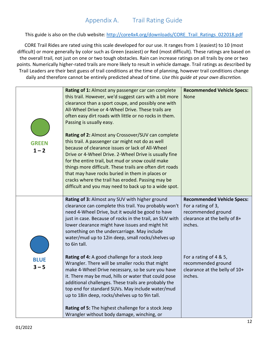<span id="page-11-0"></span>This guide is also on the club website: [http://core4x4.org/downloads/CORE\\_Trail\\_Ratings\\_022018.pdf](http://core4x4.org/downloads/CORE_Trail_Ratings_022018.pdf)

CORE Trail Rides are rated using this scale developed for our use. It ranges from 1 (easiest) to 10 (most difficult) or more generally by color such as Green (easiest) or Red (most difficult). These ratings are based on the overall trail, not just on one or two tough obstacles. Rain can increase ratings on all trails by one or two points. Numerically higher-rated trails are more likely to result in vehicle damage. Trail ratings as described by Trail Leaders are their best guess of trail conditions at the time of planning, however trail conditions change daily and therefore cannot be entirely predicted ahead of time. *Use this guide at your own discretion.*

| <b>GREEN</b><br>$1 - 2$ | Rating of 1: Almost any passenger car can complete<br>this trail. However, we'd suggest cars with a bit more<br>clearance than a sport coupe, and possibly one with<br>All-Wheel Drive or 4-Wheel Drive. These trails are<br>often easy dirt roads with little or no rocks in them.<br>Passing is usually easy.<br>Rating of 2: Almost any Crossover/SUV can complete<br>this trail. A passenger car might not do as well<br>because of clearance issues or lack of All-Wheel<br>Drive or 4-Wheel Drive. 2-Wheel Drive is usually fine<br>for the entire trail, but mud or snow could make<br>things more difficult. These trails are often dirt roads<br>that may have rocks buried in them in places or<br>cracks where the trail has eroded. Passing may be<br>difficult and you may need to back up to a wide spot. | <b>Recommended Vehicle Specs:</b><br>None                                                                                                                                                                 |
|-------------------------|-------------------------------------------------------------------------------------------------------------------------------------------------------------------------------------------------------------------------------------------------------------------------------------------------------------------------------------------------------------------------------------------------------------------------------------------------------------------------------------------------------------------------------------------------------------------------------------------------------------------------------------------------------------------------------------------------------------------------------------------------------------------------------------------------------------------------|-----------------------------------------------------------------------------------------------------------------------------------------------------------------------------------------------------------|
| <b>BLUE</b><br>$3 - 5$  | Rating of 3: Almost any SUV with higher ground<br>clearance can complete this trail. You probably won't<br>need 4-Wheel Drive, but it would be good to have<br>just in case. Because of rocks in the trail, an SUV with<br>lower clearance might have issues and might hit<br>something on the undercarriage. May include<br>water/mud up to 12in deep, small rocks/shelves up<br>to 6in tall.<br>Rating of 4: A good challenge for a stock Jeep<br>Wrangler. There will be smaller rocks that might                                                                                                                                                                                                                                                                                                                    | <b>Recommended Vehicle Specs:</b><br>For a rating of 3,<br>recommended ground<br>clearance at the belly of 8+<br>inches.<br>For a rating of 4 & 5,<br>recommended ground<br>clearance at the belly of 10+ |
|                         | make 4-Wheel Drive necessary, so be sure you have<br>it. There may be mud, hills or water that could pose<br>additional challenges. These trails are probably the<br>top end for standard SUVs. May include water/mud<br>up to 18in deep, rocks/shelves up to 9in tall.<br>Rating of 5: The highest challenge for a stock Jeep<br>Wrangler without body damage, winching, or                                                                                                                                                                                                                                                                                                                                                                                                                                            | inches.                                                                                                                                                                                                   |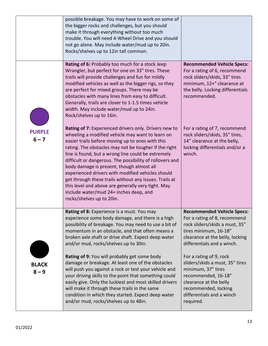|                          | possible breakage. You may have to work on some of<br>the bigger rocks and challenges, but you should<br>make it through everything without too much<br>trouble. You will need 4-Wheel Drive and you should<br>not go alone. May include water/mud up to 20in.<br>Rocks/shelves up to 12in tall common.                                                                                                                                                                                                                                                                                                                           |                                                                                                                                                                                                     |
|--------------------------|-----------------------------------------------------------------------------------------------------------------------------------------------------------------------------------------------------------------------------------------------------------------------------------------------------------------------------------------------------------------------------------------------------------------------------------------------------------------------------------------------------------------------------------------------------------------------------------------------------------------------------------|-----------------------------------------------------------------------------------------------------------------------------------------------------------------------------------------------------|
|                          | Rating of 6: Probably too much for a stock Jeep<br>Wrangler, but perfect for one on 33" tires. These<br>trails will provide challenges and fun for mildly<br>modified vehicles as well as the bigger rigs, so they<br>are perfect for mixed groups. There may be<br>obstacles with many lines from easy to difficult.<br>Generally, trails are closer to 1-1.5 times vehicle<br>width. May include water/mud up to 24in.<br>Rock/shelves up to 16in.                                                                                                                                                                              | <b>Recommended Vehicle Specs:</b><br>For a rating of 6, recommend<br>rock sliders/skids, 33" tires<br>minimum, 12+" clearance at<br>the belly. Locking differentials<br>recommended.                |
| <b>PURPLE</b><br>$6 - 7$ | Rating of 7: Experienced drivers only. Drivers new to<br>wheeling a modified vehicle may want to learn on<br>easier trails before moving up to ones with this<br>rating. The obstacles may not be tougher if the right<br>line is found, but a wrong line could be extremely<br>difficult or dangerous. The possibility of rollovers and<br>body damage is present, though almost all<br>experienced drivers with modified vehicles should<br>get through these trails without any issues. Trails at<br>this level and above are generally very tight. May<br>include water/mud 24+ inches deep, and<br>rocks/shelves up to 20in. | For a rating of 7, recommend<br>rock sliders/skids, 35" tires,<br>14" clearance at the belly,<br>locking differentials and/or a<br>winch.                                                           |
|                          | Rating of 8: Experience is a must. You may<br>experience some body damage, and there is a high<br>possibility of breakage. You may need to use a bit of<br>momentum in an obstacle, and that often means a<br>broken axle shaft or drive shaft. Expect deep water<br>and/or mud, rocks/shelves up to 30in.                                                                                                                                                                                                                                                                                                                        | <b>Recommended Vehicle Specs:</b><br>For a rating of 8, recommend<br>rock sliders/skids a must, 35"<br>tires minimum, 16-18"<br>clearance at the belly, locking<br>differentials and a winch.       |
| <b>BLACK</b><br>$8 - 9$  | Rating of 9: You will probably get some body<br>damage or breakage. At least one of the obstacles<br>will push you against a rock or test your vehicle and<br>your driving skills to the point that something could<br>easily give. Only the luckiest and most skilled drivers<br>will make it through these trails in the same<br>condition in which they started. Expect deep water<br>and/or mud, rocks/shelves up to 48in.                                                                                                                                                                                                    | For a rating of 9, rock<br>sliders/skids a must, 35" tires<br>minimum, 37" tires<br>recommended, 16-18"<br>clearance at the belly<br>recommended, locking<br>differentials and a winch<br>required. |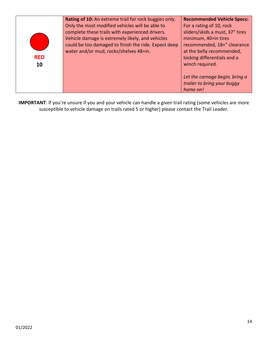| <b>RED</b><br>10 | Rating of 10: An extreme trail for rock buggies only.<br>Only the most modified vehicles will be able to<br>complete these trails with experienced drivers.<br>Vehicle damage is extremely likely, and vehicles<br>could be too damaged to finish the ride. Expect deep<br>water and/or mud, rocks/shelves 48+in. | <b>Recommended Vehicle Specs:</b><br>For a rating of 10, rock<br>sliders/skids a must, 37" tires<br>minimum, 40+in tires<br>recommended, 18+" clearance<br>at the belly recommended,<br>locking differentials and a<br>winch required. |
|------------------|-------------------------------------------------------------------------------------------------------------------------------------------------------------------------------------------------------------------------------------------------------------------------------------------------------------------|----------------------------------------------------------------------------------------------------------------------------------------------------------------------------------------------------------------------------------------|
|                  |                                                                                                                                                                                                                                                                                                                   | Let the carnage begin, bring a<br>trailer to bring your buggy<br>home on!                                                                                                                                                              |

**IMPORTANT**: If you're unsure if you and your vehicle can handle a given trail rating (some vehicles are more susceptible to vehicle damage on trails rated 5 or higher) please contact the Trail Leader.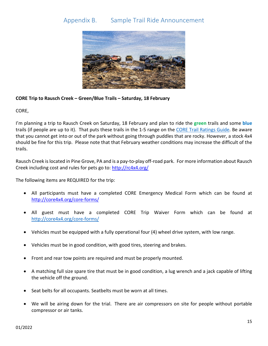### <span id="page-14-0"></span>Appendix B. Sample Trail Ride Announcement



#### **CORE Trip to Rausch Creek – Green/Blue Trails – Saturday, 18 February**

CORE,

I'm planning a trip to Rausch Creek on Saturday, 18 February and plan to ride the **green** trails and some **blue** trails (if people are up to it). That puts these trails in the 1-5 range on the [CORE Trail Ratings Guide.](http://core4x4.org/downloads/CORE_Trail_Ratings_022018.pdf) Be aware that you cannot get into or out of the park without going through puddles that are rocky. However, a stock 4x4 should be fine for this trip. Please note that that February weather conditions may increase the difficult of the trails.

Rausch Creek is located in Pine Grove, PA and is a pay-to-play off-road park. For more information about Rausch Creek including cost and rules for pets go to[: http://rc4x4.org/](http://rc4x4.org/)

The following items are REQUIRED for the trip:

- All participants must have a completed CORE Emergency Medical Form which can be found at <http://core4x4.org/core-forms/>
- All guest must have a completed CORE Trip Waiver Form which can be found at <http://core4x4.org/core-forms/>
- Vehicles must be equipped with a fully operational four (4) wheel drive system, with low range.
- Vehicles must be in good condition, with good tires, steering and brakes.
- Front and rear tow points are required and must be properly mounted.
- A matching full size spare tire that must be in good condition, a lug wrench and a jack capable of lifting the vehicle off the ground.
- Seat belts for all occupants. Seatbelts must be worn at all times.
- We will be airing down for the trial. There are air compressors on site for people without portable compressor or air tanks.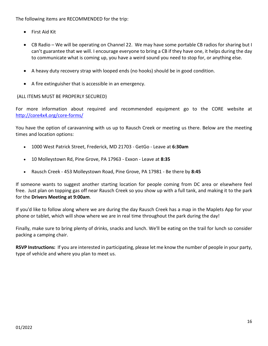The following items are RECOMMENDED for the trip:

- First Aid Kit
- CB Radio We will be operating on Channel 22. We may have some portable CB radios for sharing but I can't guarantee that we will. I encourage everyone to bring a CB if they have one, it helps during the day to communicate what is coming up, you have a weird sound you need to stop for, or anything else.
- A heavy duty recovery strap with looped ends (no hooks) should be in good condition.
- A fire extinguisher that is accessible in an emergency.

### (ALL ITEMS MUST BE PROPERLY SECURED)

For more information about required and recommended equipment go to the CORE website at <http://core4x4.org/core-forms/>

You have the option of caravanning with us up to Rausch Creek or meeting us there. Below are the meeting times and location options:

- 1000 West Patrick Street, Frederick, MD 21703 GetGo Leave at **6:30am**
- 10 Molleystown Rd, Pine Grove, PA 17963 Exxon Leave at **8:35**
- Rausch Creek 453 Molleystown Road, Pine Grove, PA 17981 Be there by **8:45**

If someone wants to suggest another starting location for people coming from DC area or elsewhere feel free. Just plan on topping gas off near Rausch Creek so you show up with a full tank, and making it to the park for the **Drivers Meeting at 9:00am**.

If you'd like to follow along where we are during the day Rausch Creek has a map in the Maplets App for your phone or tablet, which will show where we are in real time throughout the park during the day!

Finally, make sure to bring plenty of drinks, snacks and lunch. We'll be eating on the trail for lunch so consider packing a camping chair.

**RSVP Instructions:** If you are interested in participating, please let me know the number of people in your party, type of vehicle and where you plan to meet us.